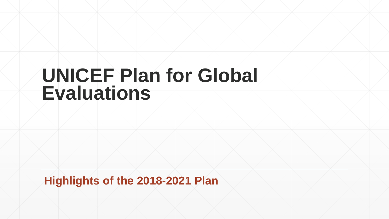## **UNICEF Plan for Global Evaluations**

**Highlights of the 2018-2021 Plan**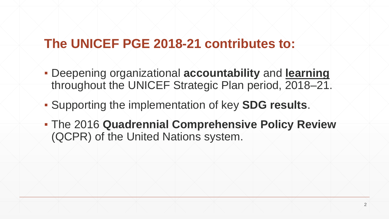#### **The UNICEF PGE 2018-21 contributes to:**

- Deepening organizational **accountability** and **learning** throughout the UNICEF Strategic Plan period, 2018–21.
- Supporting the implementation of key **SDG results**.
- The 2016 **Quadrennial Comprehensive Policy Review** (QCPR) of the United Nations system.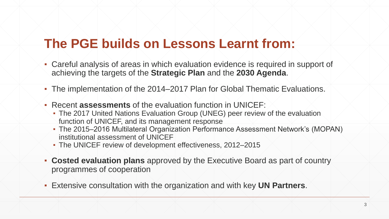#### **The PGE builds on Lessons Learnt from:**

- Careful analysis of areas in which evaluation evidence is required in support of achieving the targets of the **Strategic Plan** and the **2030 Agenda**.
- The implementation of the 2014–2017 Plan for Global Thematic Evaluations.
- Recent **assessments** of the evaluation function in UNICEF:
	- The 2017 United Nations Evaluation Group (UNEG) peer review of the evaluation function of UNICEF, and its management response
	- The 2015–2016 Multilateral Organization Performance Assessment Network's (MOPAN) institutional assessment of UNICEF
	- The UNICEF review of development effectiveness, 2012–2015
- **Costed evaluation plans** approved by the Executive Board as part of country programmes of cooperation
- Extensive consultation with the organization and with key **UN Partners**.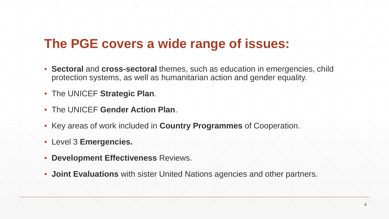#### **The PGE covers a wide range of issues:**

- **Sectoral** and **cross-sectoral** themes, such as education in emergencies, child protection systems, as well as humanitarian action and gender equality.
- The UNICEF **Strategic Plan**.
- The UNICEF **Gender Action Plan**.
- Key areas of work included in **Country Programmes** of Cooperation.
- Level 3 **Emergencies.**
- **Development Effectiveness** Reviews.
- **Joint Evaluations** with sister United Nations agencies and other partners.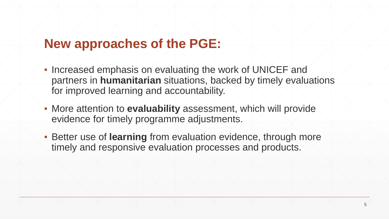#### **New approaches of the PGE:**

- Increased emphasis on evaluating the work of UNICEF and partners in **humanitarian** situations, backed by timely evaluations for improved learning and accountability.
- More attention to **evaluability** assessment, which will provide evidence for timely programme adjustments.
- **EXECTE:** Better use of **learning** from evaluation evidence, through more timely and responsive evaluation processes and products.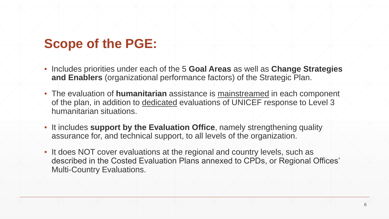#### **Scope of the PGE:**

- Includes priorities under each of the 5 **Goal Areas** as well as **Change Strategies and Enablers** (organizational performance factors) of the Strategic Plan.
- **The evaluation of humanitarian** assistance is mainstreamed in each component of the plan, in addition to dedicated evaluations of UNICEF response to Level 3 humanitarian situations.
- It includes **support by the Evaluation Office**, namely strengthening quality assurance for, and technical support, to all levels of the organization.
- It does NOT cover evaluations at the regional and country levels, such as described in the Costed Evaluation Plans annexed to CPDs, or Regional Offices' Multi-Country Evaluations.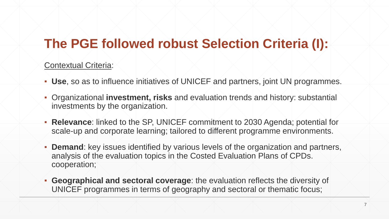#### **The PGE followed robust Selection Criteria (I):**

#### Contextual Criteria:

- **Use**, so as to influence initiatives of UNICEF and partners, joint UN programmes.
- Organizational **investment, risks** and evaluation trends and history: substantial investments by the organization.
- **Relevance**: linked to the SP, UNICEF commitment to 2030 Agenda; potential for scale-up and corporate learning; tailored to different programme environments.
- **Demand**: key issues identified by various levels of the organization and partners, analysis of the evaluation topics in the Costed Evaluation Plans of CPDs. cooperation;
- **Geographical and sectoral coverage**: the evaluation reflects the diversity of UNICEF programmes in terms of geography and sectoral or thematic focus;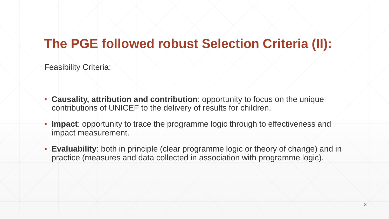#### **The PGE followed robust Selection Criteria (II):**

Feasibility Criteria:

- **Causality, attribution and contribution**: opportunity to focus on the unique contributions of UNICEF to the delivery of results for children.
- **Impact**: opportunity to trace the programme logic through to effectiveness and impact measurement.
- **Evaluability**: both in principle (clear programme logic or theory of change) and in practice (measures and data collected in association with programme logic).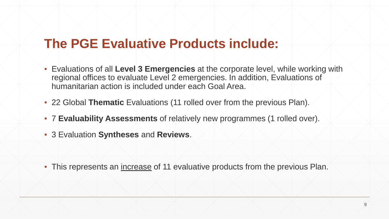#### **The PGE Evaluative Products include:**

- Evaluations of all **Level 3 Emergencies** at the corporate level, while working with regional offices to evaluate Level 2 emergencies. In addition, Evaluations of humanitarian action is included under each Goal Area.
- 22 Global **Thematic** Evaluations (11 rolled over from the previous Plan).
- 7 **Evaluability Assessments** of relatively new programmes (1 rolled over).
- 3 Evaluation **Syntheses** and **Reviews**.

▪ This represents an increase of 11 evaluative products from the previous Plan.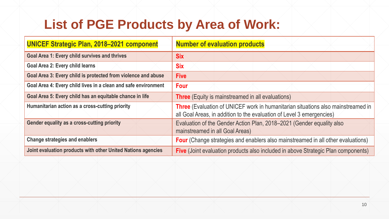### **List of PGE Products by Area of Work:**

| <b>UNICEF Strategic Plan, 2018-2021 component</b>              | <b>Number of evaluation products</b>                                                                                                                             |
|----------------------------------------------------------------|------------------------------------------------------------------------------------------------------------------------------------------------------------------|
| <b>Goal Area 1: Every child survives and thrives</b>           | <b>Six</b>                                                                                                                                                       |
| <b>Goal Area 2: Every child learns</b>                         | <b>Six</b>                                                                                                                                                       |
| Goal Area 3: Every child is protected from violence and abuse  | <b>Five</b>                                                                                                                                                      |
| Goal Area 4: Every child lives in a clean and safe environment | <b>Four</b>                                                                                                                                                      |
| Goal Area 5: Every child has an equitable chance in life       | <b>Three</b> (Equity is mainstreamed in all evaluations)                                                                                                         |
| Humanitarian action as a cross-cutting priority                | <b>Three</b> (Evaluation of UNICEF work in humanitarian situations also mainstreamed in<br>all Goal Areas, in addition to the evaluation of Level 3 emergencies) |
| <b>Gender equality as a cross-cutting priority</b>             | Evaluation of the Gender Action Plan, 2018–2021 (Gender equality also<br>mainstreamed in all Goal Areas)                                                         |
| <b>Change strategies and enablers</b>                          | <b>Four</b> (Change strategies and enablers also mainstreamed in all other evaluations)                                                                          |
| Joint evaluation products with other United Nations agencies   | <b>Five</b> (Joint evaluation products also included in above Strategic Plan components)                                                                         |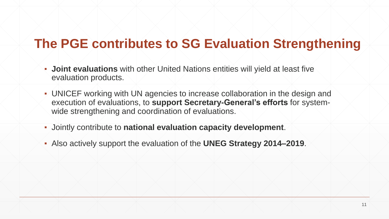### **The PGE contributes to SG Evaluation Strengthening**

- **Joint evaluations** with other United Nations entities will yield at least five evaluation products.
- UNICEF working with UN agencies to increase collaboration in the design and execution of evaluations, to **support Secretary-General's efforts** for systemwide strengthening and coordination of evaluations.
- Jointly contribute to **national evaluation capacity development**.
- Also actively support the evaluation of the **UNEG Strategy 2014–2019**.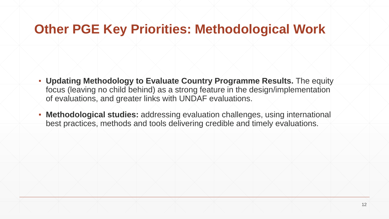#### **Other PGE Key Priorities: Methodological Work**

- **Updating Methodology to Evaluate Country Programme Results.** The equity focus (leaving no child behind) as a strong feature in the design/implementation of evaluations, and greater links with UNDAF evaluations.
- **Methodological studies:** addressing evaluation challenges, using international best practices, methods and tools delivering credible and timely evaluations.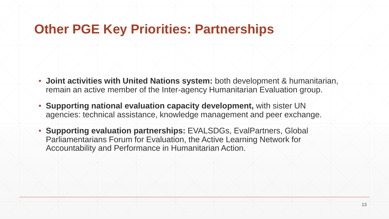#### **Other PGE Key Priorities: Partnerships**

- **Joint activities with United Nations system:** both development & humanitarian, remain an active member of the Inter-agency Humanitarian Evaluation group.
- **Supporting national evaluation capacity development,** with sister UN agencies: technical assistance, knowledge management and peer exchange.
- **Supporting evaluation partnerships:** EVALSDGs, EvalPartners, Global Parliamentarians Forum for Evaluation, the Active Learning Network for Accountability and Performance in Humanitarian Action.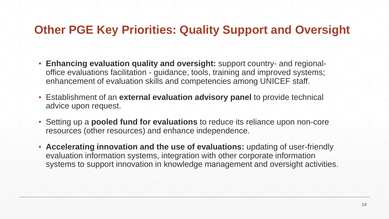#### **Other PGE Key Priorities: Quality Support and Oversight**

- **Enhancing evaluation quality and oversight:** support country- and regionaloffice evaluations facilitation - guidance, tools, training and improved systems; enhancement of evaluation skills and competencies among UNICEF staff.
- Establishment of an **external evaluation advisory panel** to provide technical advice upon request.
- Setting up a **pooled fund for evaluations** to reduce its reliance upon non-core resources (other resources) and enhance independence.
- **Accelerating innovation and the use of evaluations:** updating of user-friendly evaluation information systems, integration with other corporate information systems to support innovation in knowledge management and oversight activities.